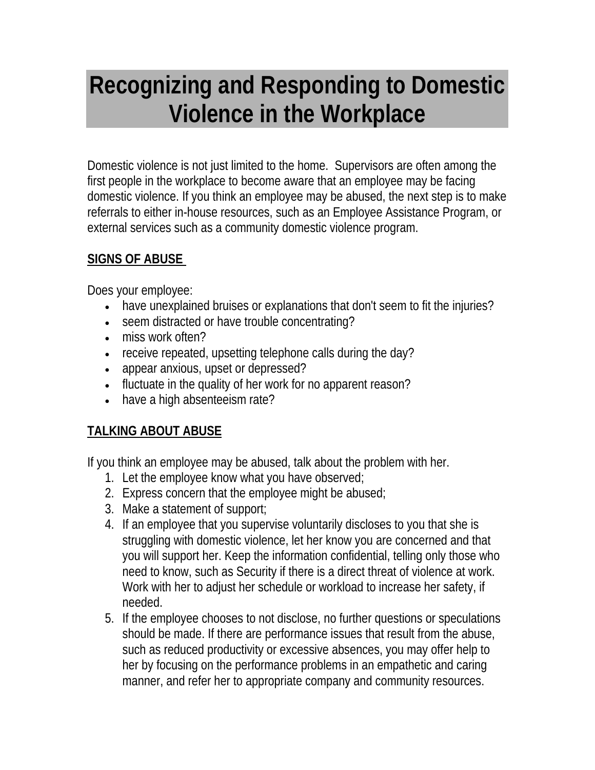# **Recognizing and Responding to Domestic Violence in the Workplace**

Domestic violence is not just limited to the home. Supervisors are often among the first people in the workplace to become aware that an employee may be facing domestic violence. If you think an employee may be abused, the next step is to make referrals to either in-house resources, such as an Employee Assistance Program, or external services such as a community domestic violence program.

#### **SIGNS OF ABUSE**

Does your employee:

- have unexplained bruises or explanations that don't seem to fit the injuries?
- seem distracted or have trouble concentrating?
- miss work often?
- receive repeated, upsetting telephone calls during the day?
- appear anxious, upset or depressed?
- fluctuate in the quality of her work for no apparent reason?
- have a high absenteeism rate?

### **TALKING ABOUT ABUSE**

If you think an employee may be abused, talk about the problem with her.

- 1. Let the employee know what you have observed;
- 2. Express concern that the employee might be abused;
- 3. Make a statement of support;
- 4. If an employee that you supervise voluntarily discloses to you that she is struggling with domestic violence, let her know you are concerned and that you will support her. Keep the information confidential, telling only those who need to know, such as Security if there is a direct threat of violence at work. Work with her to adjust her schedule or workload to increase her safety, if needed.
- 5. If the employee chooses to not disclose, no further questions or speculations should be made. If there are performance issues that result from the abuse, such as reduced productivity or excessive absences, you may offer help to her by focusing on the performance problems in an empathetic and caring manner, and refer her to appropriate company and community resources.